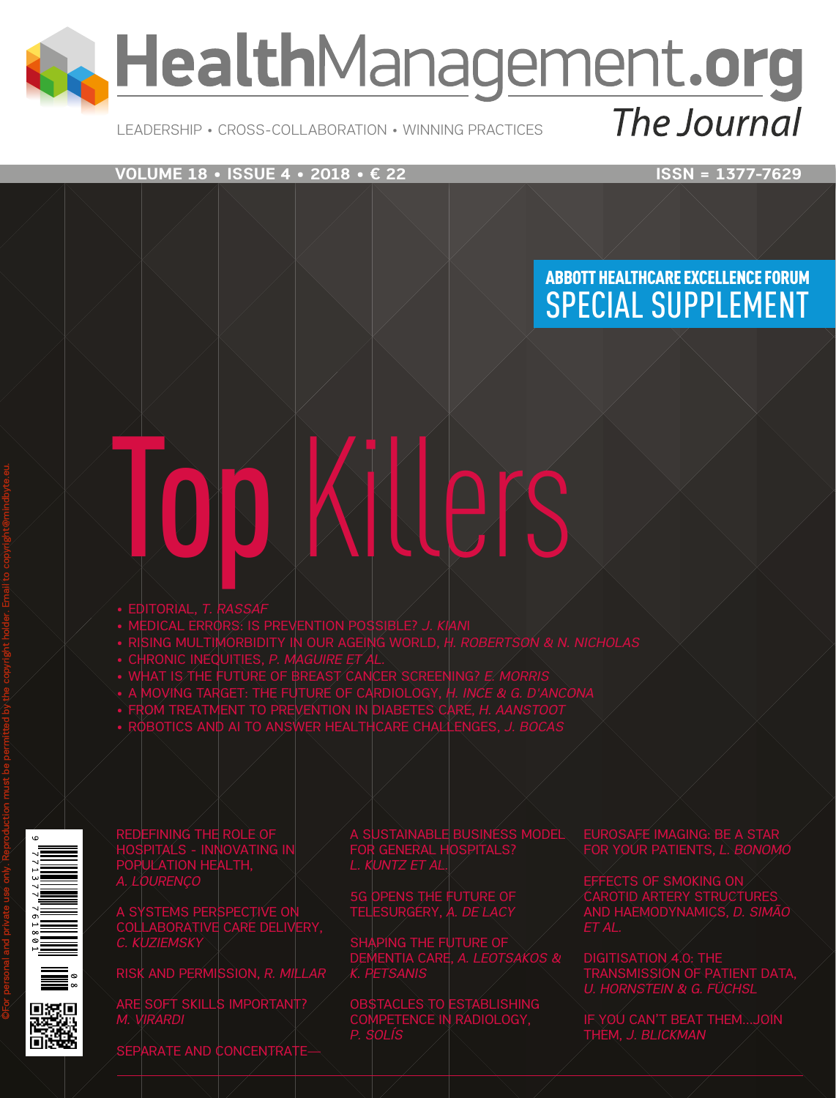**A. HealthManagement.org** The Journal

#### Leadership • Cross-Collaboration • Winning Practices

**VOLUME 18 • ISSUE 4 • 2018 • € 22** ISSN = 1377-7629

## Abbott Healthcare Excellence Forum SPECIAL SUPPLEMENT

# Top Killers

- • EDITORIAL, *T. RASSAF*
- • MEDICAL ERRORS: IS PREVENTION POSSIBLE? *J. KIAN*I
- • RISING MULTIMORBIDITY IN OUR AGEING WORLD, *H. ROBERTSON & N. NICHOLAS*
- • CHRONIC INEQUITIES, *P. MAGUIRE ET AL.*
- • WHAT IS THE FUTURE OF BREAST CANCER SCREENING? *E. MORRIS*
- • A MOVING TARGET: THE FUTURE OF CARDIOLOGY, *H. INCE & G. D'ANCONA*
- • FROM TREATMENT TO PREVENTION IN DIABETES CARE, *H. AANSTOOT* • ROBOTICS AND AI TO ANSWER HEALTHCARE CHALLENGES, *J. BOCAS*





REDEFINING THE ROLE OF HOSPITALS - INNOVATING IN POPULATION HEALTH, *A. LOURENÇO*

COLLABORATIVE CARE DELIVERY, *C. KUZIEMSKY*

RISK AND PERMISSION, *R. MILLAR*

 $\mathsf{s}$ oft skills importa *M. VIRARDI*

RATE AND CONCENTR.

A SUSTAINABLE BUSINESS MODEL FOR GENERAL HOSPITALS?

5G OPENS THE FUTURE OF

SHAPING THE FUTURE OF *K. PETSANIS*

COMPETENCE IN RADIOLOGY, *P. SOLÍS*

EUROSAFE IMAGING: BE A STAR FOR YOUR PATIENTS, *L. BONOMO*

EFFECTS OF SMOKING ON CAROTID ARTERY STRUCTURES

TRANSMISSION OF PATIENT DATA, *U. HORNSTEIN & G. FÜCHSL*

IF YOU CAN'T BEAT THEM…JOIN THEM, *J. BLICKMAN*